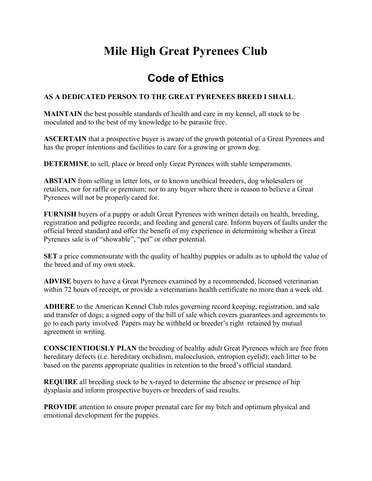## **Mile High Great Pyrenees Club**

## **Code of Ethics**

## **AS A DEDICATED PERSON TO THE GREAT PYRENEES BREED I SHALL**:

**MAINTAIN** the best possible standards of health and care in my kennel, all stock to be inoculated and to the best of my knowledge to be parasite free.

**ASCERTAIN** that a prospective buyer is aware of the growth potential of a Great Pyrenees and has the proper intentions and facilities to care for a growing or grown dog.

**DETERMINE** to sell, place or breed only Great Pyrenees with stable temperaments.

**ABSTAIN** from selling in letter lots, or to known unethical breeders, dog wholesalers or retailers, nor for raffle or premium; nor to any buyer where there is reason to believe a Great Pyrenees will not be properly cared for.

**FURNISH** buyers of a puppy or adult Great Pyrenees with written details on health, breeding, registration and pedigree records; and feeding and general care. Inform buyers of faults under the official breed standard and offer the benefit of my experience in determining whether a Great Pyrenees sale is of "showable", "pet" or other potential.

**SET** a price commensurate with the quality of healthy puppies or adults as to uphold the value of the breed and of my own stock.

**ADVISE** buyers to have a Great Pyrenees examined by a recommended, licensed veterinarian within 72 hours of receipt, or provide a veterinarians health certificate no more than a week old.

**ADHERE** to the American Kennel Club rules governing record keeping, registration, and sale and transfer of dogs; a signed copy of the bill of sale which covers guarantees and agreements to go to each party involved. Papers may be withheld or breeder's right retained by mutual agreement in writing.

**CONSCIENTIOUSLY PLAN** the breeding of healthy adult Great Pyrenees which are free from hereditary defects (i.e. hereditary orchidism, malocclusion, entropion eyelid); each litter to be based on the parents appropriate qualities in retention to the breed's official standard.

**REQUIRE** all breeding stock to be x-rayed to determine the absence or presence of hip dysplasia and inform prospective buyers or breeders of said results.

**PROVIDE** attention to ensure proper prenatal care for my bitch and optimum physical and emotional development for the puppies.